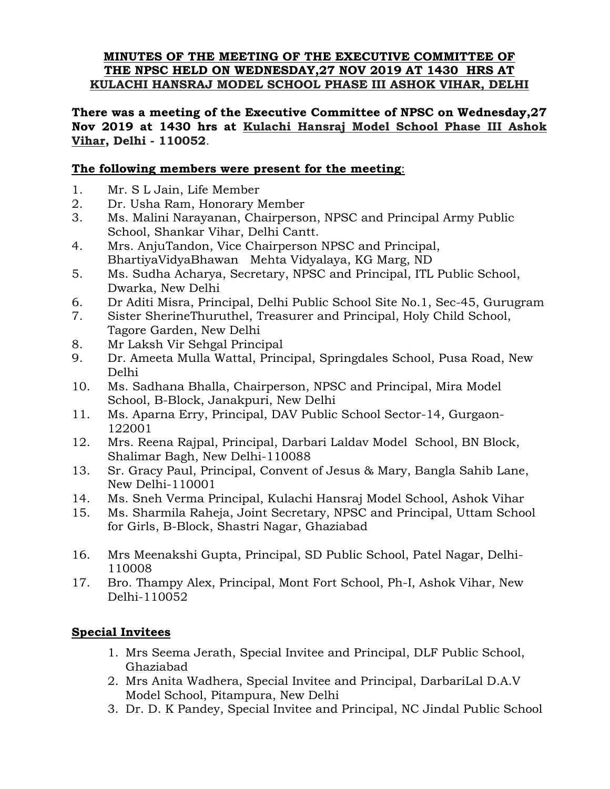#### **MINUTES OF THE MEETING OF THE EXECUTIVE COMMITTEE OF THE NPSC HELD ON WEDNESDAY,27 NOV 2019 AT 1430 HRS AT KULACHI HANSRAJ MODEL SCHOOL PHASE III ASHOK VIHAR, DELHI**

**There was a meeting of the Executive Committee of NPSC on Wednesday,27 Nov 2019 at 1430 hrs at Kulachi Hansraj Model School Phase III Ashok Vihar, Delhi - 110052**.

### **The following members were present for the meeting**:

- 1. Mr. S L Jain, Life Member
- 2. Dr. Usha Ram, Honorary Member
- 3. Ms. Malini Narayanan, Chairperson, NPSC and Principal Army Public School, Shankar Vihar, Delhi Cantt.
- 4. Mrs. AnjuTandon, Vice Chairperson NPSC and Principal, BhartiyaVidyaBhawan Mehta Vidyalaya, KG Marg, ND
- 5. Ms. Sudha Acharya, Secretary, NPSC and Principal, ITL Public School, Dwarka, New Delhi
- 6. Dr Aditi Misra, Principal, Delhi Public School Site No.1, Sec-45, Gurugram
- 7. Sister SherineThuruthel, Treasurer and Principal, Holy Child School, Tagore Garden, New Delhi
- 8. Mr Laksh Vir Sehgal Principal
- 9. Dr. Ameeta Mulla Wattal, Principal, Springdales School, Pusa Road, New Delhi
- 10. Ms. Sadhana Bhalla, Chairperson, NPSC and Principal, Mira Model School, B-Block, Janakpuri, New Delhi
- 11. Ms. Aparna Erry, Principal, DAV Public School Sector-14, Gurgaon-122001
- 12. Mrs. Reena Rajpal, Principal, Darbari Laldav Model School, BN Block, Shalimar Bagh, New Delhi-110088
- 13. Sr. Gracy Paul, Principal, Convent of Jesus & Mary, Bangla Sahib Lane, New Delhi-110001
- 14. Ms. Sneh Verma Principal, Kulachi Hansraj Model School, Ashok Vihar
- 15. Ms. Sharmila Raheja, Joint Secretary, NPSC and Principal, Uttam School for Girls, B-Block, Shastri Nagar, Ghaziabad
- 16. Mrs Meenakshi Gupta, Principal, SD Public School, Patel Nagar, Delhi-110008
- 17. Bro. Thampy Alex, Principal, Mont Fort School, Ph-I, Ashok Vihar, New Delhi-110052

### **Special Invitees**

- 1. Mrs Seema Jerath, Special Invitee and Principal, DLF Public School, Ghaziabad
- 2. Mrs Anita Wadhera, Special Invitee and Principal, DarbariLal D.A.V Model School, Pitampura, New Delhi
- 3. Dr. D. K Pandey, Special Invitee and Principal, NC Jindal Public School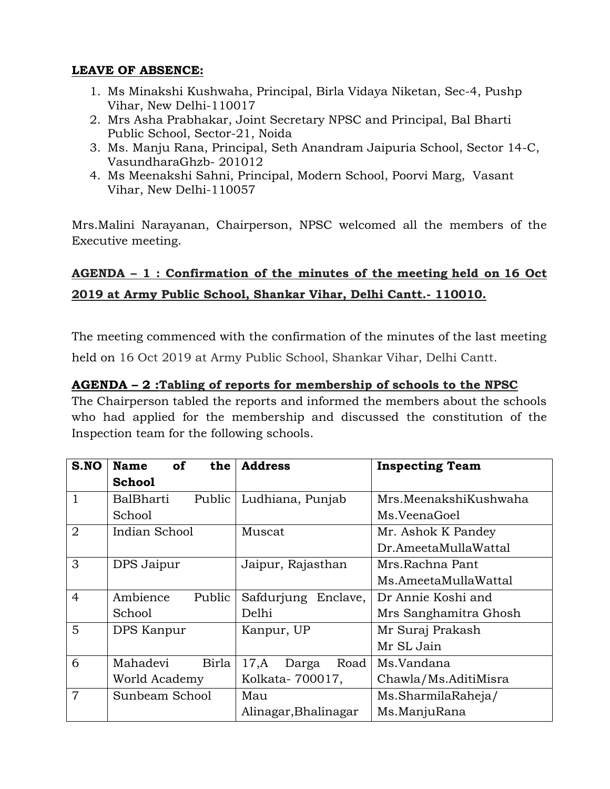## **LEAVE OF ABSENCE:**

- 1. Ms Minakshi Kushwaha, Principal, Birla Vidaya Niketan, Sec-4, Pushp Vihar, New Delhi-110017
- 2. Mrs Asha Prabhakar, Joint Secretary NPSC and Principal, Bal Bharti Public School, Sector-21, Noida
- 3. Ms. Manju Rana, Principal, Seth Anandram Jaipuria School, Sector 14-C, VasundharaGhzb- 201012
- 4. Ms Meenakshi Sahni, Principal, Modern School, Poorvi Marg, Vasant Vihar, New Delhi-110057

Mrs.Malini Narayanan, Chairperson, NPSC welcomed all the members of the Executive meeting.

# **AGENDA – 1 : Confirmation of the minutes of the meeting held on 16 Oct 2019 at Army Public School, Shankar Vihar, Delhi Cantt.- 110010.**

The meeting commenced with the confirmation of the minutes of the last meeting held on 16 Oct 2019 at Army Public School, Shankar Vihar, Delhi Cantt.

### **AGENDA – 2 :Tabling of reports for membership of schools to the NPSC**

The Chairperson tabled the reports and informed the members about the schools who had applied for the membership and discussed the constitution of the Inspection team for the following schools.

| S.NO           | <b>of</b><br><b>Name</b><br>the | <b>Address</b>         | <b>Inspecting Team</b> |
|----------------|---------------------------------|------------------------|------------------------|
|                | <b>School</b>                   |                        |                        |
|                | BalBharti<br>Public             | Ludhiana, Punjab       | Mrs.MeenakshiKushwaha  |
|                | School                          |                        | Ms.VeenaGoel           |
| $\overline{2}$ | Indian School                   | Muscat                 | Mr. Ashok K Pandey     |
|                |                                 |                        | Dr.AmeetaMullaWattal   |
| 3              | DPS Jaipur                      | Jaipur, Rajasthan      | Mrs.Rachna Pant        |
|                |                                 |                        | Ms.AmeetaMullaWattal   |
| $\overline{4}$ | Ambience<br>Public              | Safdurjung<br>Enclave, | Dr Annie Koshi and     |
|                | School                          | Delhi                  | Mrs Sanghamitra Ghosh  |
| 5              | DPS Kanpur                      | Kanpur, UP             | Mr Suraj Prakash       |
|                |                                 |                        | Mr SL Jain             |
| 6              | Mahadevi<br>Birla               | 17,A<br>Road<br>Darga  | Ms.Vandana             |
|                | World Academy                   | Kolkata-700017,        | Chawla/Ms.AditiMisra   |
| 7              | Sunbeam School                  | Mau                    | Ms.SharmilaRaheja/     |
|                |                                 | Alinagar, Bhalinagar   | Ms.ManjuRana           |